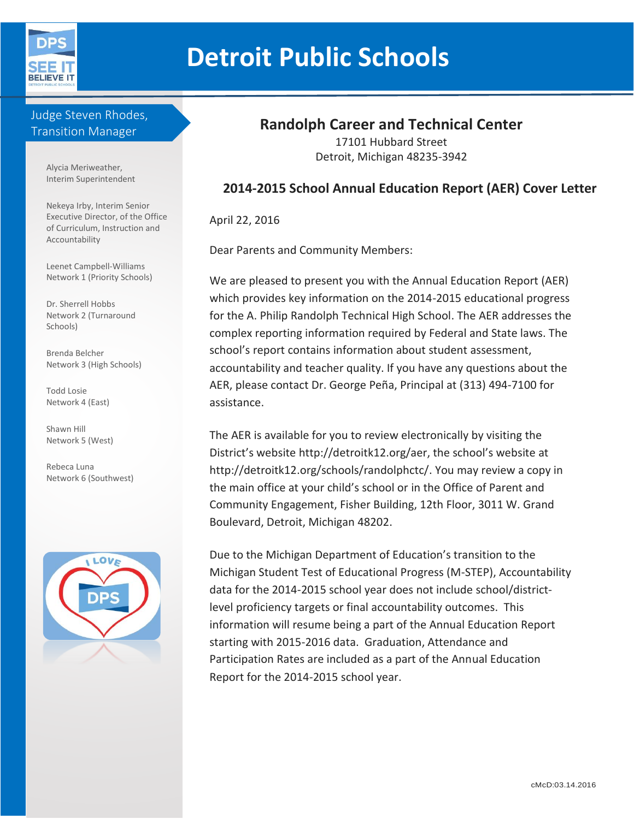

# **Detroit Public Schools**

#### Judge Steven Rhodes, Transition Manager

Alycia Meriweather, Interim Superintendent

Nekeya Irby, Interim Senior Executive Director, of the Office of Curriculum, Instruction and Accountability

Leenet Campbell-Williams Network 1 (Priority Schools)

Dr. Sherrell Hobbs Network 2 (Turnaround Schools)

Brenda Belcher Network 3 (High Schools)

Todd Losie Network 4 (East)

Shawn Hill Network 5 (West)

Rebeca Luna Network 6 (Southwest)



# **Randolph Career and Technical Center**

17101 Hubbard Street Detroit, Michigan 48235-3942

#### **2014-2015 School Annual Education Report (AER) Cover Letter**

April 22, 2016

Dear Parents and Community Members:

We are pleased to present you with the Annual Education Report (AER) which provides key information on the 2014-2015 educational progress for the A. Philip Randolph Technical High School. The AER addresses the complex reporting information required by Federal and State laws. The school's report contains information about student assessment, accountability and teacher quality. If you have any questions about the AER, please contact Dr. George Peña, Principal at (313) 494-7100 for assistance.

The AER is available for you to review electronically by visiting the District's website http://detroitk12.org/aer, the school's website at http://detroitk12.org/schools/randolphctc/. You may review a copy in the main office at your child's school or in the Office of Parent and Community Engagement, Fisher Building, 12th Floor, 3011 W. Grand Boulevard, Detroit, Michigan 48202.

Due to the Michigan Department of Education's transition to the Michigan Student Test of Educational Progress (M-STEP), Accountability data for the 2014-2015 school year does not include school/districtlevel proficiency targets or final accountability outcomes. This information will resume being a part of the Annual Education Report starting with 2015-2016 data. Graduation, Attendance and Participation Rates are included as a part of the Annual Education Report for the 2014-2015 school year.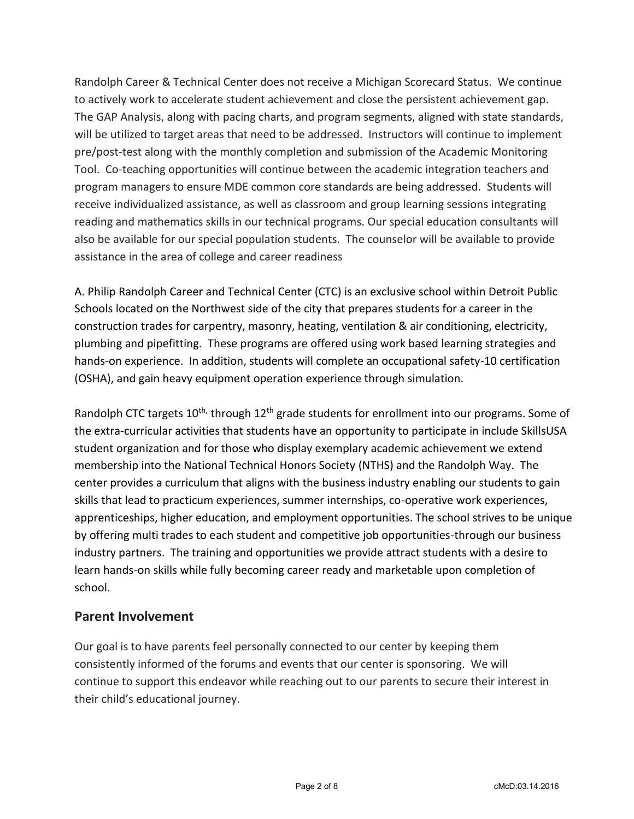Randolph Career & Technical Center does not receive a Michigan Scorecard Status. We continue to actively work to accelerate student achievement and close the persistent achievement gap. The GAP Analysis, along with pacing charts, and program segments, aligned with state standards, will be utilized to target areas that need to be addressed. Instructors will continue to implement pre/post-test along with the monthly completion and submission of the Academic Monitoring Tool. Co-teaching opportunities will continue between the academic integration teachers and program managers to ensure MDE common core standards are being addressed. Students will receive individualized assistance, as well as classroom and group learning sessions integrating reading and mathematics skills in our technical programs. Our special education consultants will also be available for our special population students. The counselor will be available to provide assistance in the area of college and career readiness

A. Philip Randolph Career and Technical Center (CTC) is an exclusive school within Detroit Public Schools located on the Northwest side of the city that prepares students for a career in the construction trades for carpentry, masonry, heating, ventilation & air conditioning, electricity, plumbing and pipefitting. These programs are offered using work based learning strategies and hands-on experience. In addition, students will complete an occupational safety-10 certification (OSHA), and gain heavy equipment operation experience through simulation.

Randolph CTC targets  $10^{th}$ , through  $12^{th}$  grade students for enrollment into our programs. Some of the extra-curricular activities that students have an opportunity to participate in include SkillsUSA student organization and for those who display exemplary academic achievement we extend membership into the National Technical Honors Society (NTHS) and the Randolph Way. The center provides a curriculum that aligns with the business industry enabling our students to gain skills that lead to practicum experiences, summer internships, co-operative work experiences, apprenticeships, higher education, and employment opportunities. The school strives to be unique by offering multi trades to each student and competitive job opportunities-through our business industry partners. The training and opportunities we provide attract students with a desire to learn hands-on skills while fully becoming career ready and marketable upon completion of school.

#### **Parent Involvement**

Our goal is to have parents feel personally connected to our center by keeping them consistently informed of the forums and events that our center is sponsoring. We will continue to support this endeavor while reaching out to our parents to secure their interest in their child's educational journey.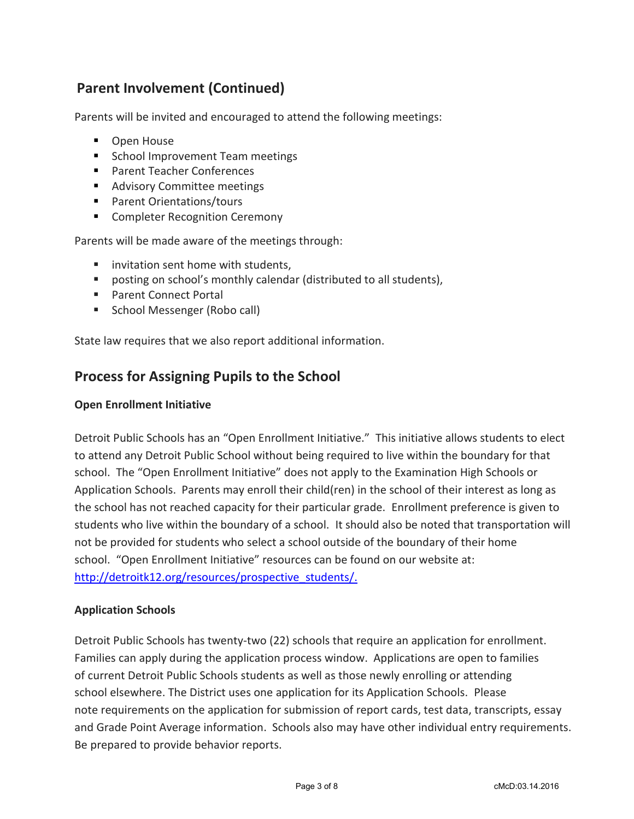# **Parent Involvement (Continued)**

Parents will be invited and encouraged to attend the following meetings:

- **D** Open House
- School Improvement Team meetings
- Parent Teacher Conferences
- **Advisory Committee meetings**
- Parent Orientations/tours
- **Completer Recognition Ceremony**

Parents will be made aware of the meetings through:

- $\blacksquare$  invitation sent home with students.
- posting on school's monthly calendar (distributed to all students),
- Parent Connect Portal
- School Messenger (Robo call)

State law requires that we also report additional information.

## **Process for Assigning Pupils to the School**

#### **Open Enrollment Initiative**

Detroit Public Schools has an "Open Enrollment Initiative." This initiative allows students to elect to attend any Detroit Public School without being required to live within the boundary for that school. The "Open Enrollment Initiative" does not apply to the Examination High Schools or Application Schools. Parents may enroll their child(ren) in the school of their interest as long as the school has not reached capacity for their particular grade. Enrollment preference is given to students who live within the boundary of a school. It should also be noted that transportation will not be provided for students who select a school outside of the boundary of their home school. "Open Enrollment Initiative" resources can be found on our website at: [http://detroitk12.org/resources/prospective\\_students/.](http://detroitk12.org/resources/prospective_students/)

#### **Application Schools**

Detroit Public Schools has twenty-two (22) schools that require an application for enrollment. Families can apply during the application process window. Applications are open to families of current Detroit Public Schools students as well as those newly enrolling or attending school elsewhere. The District uses one application for its Application Schools. Please note requirements on the application for submission of report cards, test data, transcripts, essay and Grade Point Average information. Schools also may have other individual entry requirements. Be prepared to provide behavior reports.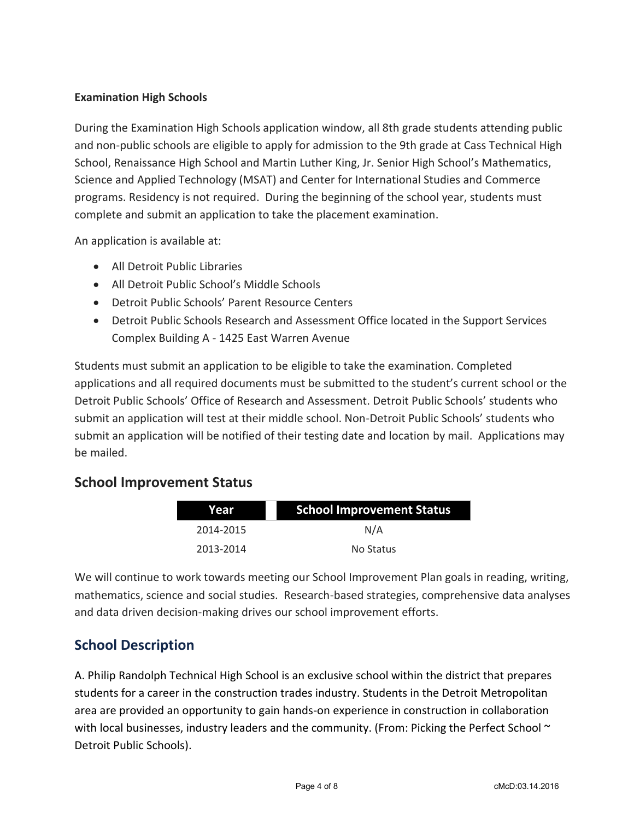#### **Examination High Schools**

During the Examination High Schools application window, all 8th grade students attending public and non-public schools are eligible to apply for admission to the 9th grade at Cass Technical High School, Renaissance High School and Martin Luther King, Jr. Senior High School's Mathematics, Science and Applied Technology (MSAT) and Center for International Studies and Commerce programs. Residency is not required. During the beginning of the school year, students must complete and submit an application to take the placement examination.

An application is available at:

- All Detroit Public Libraries
- All Detroit Public School's Middle Schools
- Detroit Public Schools' Parent Resource Centers
- Detroit Public Schools Research and Assessment Office located in the Support Services Complex Building A - 1425 East Warren Avenue

Students must submit an application to be eligible to take the examination. Completed applications and all required documents must be submitted to the student's current school or the Detroit Public Schools' Office of Research and Assessment. Detroit Public Schools' students who submit an application will test at their middle school. Non-Detroit Public Schools' students who submit an application will be notified of their testing date and location by mail. Applications may be mailed.

## **School Improvement Status**

| Year      | <b>School Improvement Status</b> |  |  |
|-----------|----------------------------------|--|--|
| 2014-2015 | N/A                              |  |  |
| 2013-2014 | No Status                        |  |  |

We will continue to work towards meeting our School Improvement Plan goals in reading, writing, mathematics, science and social studies. Research-based strategies, comprehensive data analyses and data driven decision-making drives our school improvement efforts.

# **School Description**

A. Philip Randolph Technical High School is an exclusive school within the district that prepares students for a career in the construction trades industry. Students in the Detroit Metropolitan area are provided an opportunity to gain hands-on experience in construction in collaboration with local businesses, industry leaders and the community. (From: Picking the Perfect School  $\sim$ Detroit Public Schools).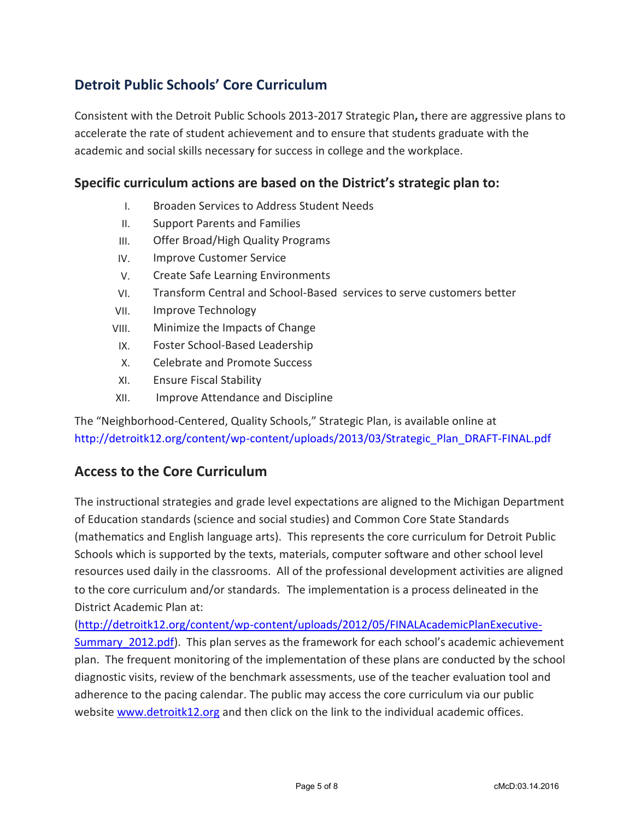# **Detroit Public Schools' Core Curriculum**

Consistent with the Detroit Public Schools 2013-2017 Strategic Plan**,** there are aggressive plans to accelerate the rate of student achievement and to ensure that students graduate with the academic and social skills necessary for success in college and the workplace.

#### **Specific curriculum actions are based on the District's strategic plan to:**

- I. Broaden Services to Address Student Needs
- II. Support Parents and Families
- III. Offer Broad/High Quality Programs
- IV. Improve Customer Service
- V. Create Safe Learning Environments
- VI. Transform Central and School-Based services to serve customers better
- VII. Improve Technology
- VIII. Minimize the Impacts of Change
- IX. Foster School-Based Leadership
- X. Celebrate and Promote Success
- XI. Ensure Fiscal Stability
- XII. Improve Attendance and Discipline

The "Neighborhood-Centered, Quality Schools," Strategic Plan, is available online at [http://detroitk12.org/content/wp-content/uploads/2013/03/Strategic\\_Plan\\_DRAFT-FINAL.pdf](http://detroitk12.org/content/wp-content/uploads/2013/03/Strategic_Plan_DRAFT-FINAL.pdf)

## **Access to the Core Curriculum**

The instructional strategies and grade level expectations are aligned to the Michigan Department of Education standards (science and social studies) and Common Core State Standards (mathematics and English language arts). This represents the core curriculum for Detroit Public Schools which is supported by the texts, materials, computer software and other school level resources used daily in the classrooms. All of the professional development activities are aligned to the core curriculum and/or standards. The implementation is a process delineated in the District Academic Plan at:

[\(http://detroitk12.org/content/wp-content/uploads/2012/05/FINALAcademicPlanExecutive-](http://detroitk12.org/content/wp-content/uploads/2012/05/FINALAcademicPlanExecutive-Summary_2012.pdf)Summary 2012.pdf). This plan serves as the framework for each school's academic achievement plan. The frequent monitoring of the implementation of these plans are conducted by the school diagnostic visits, review of the benchmark assessments, use of the teacher evaluation tool and adherence to the pacing calendar. The public may access the core curriculum via our public website [www.detroitk12.org](http://www.detroitk12.org/) and then click on the link to the individual academic offices.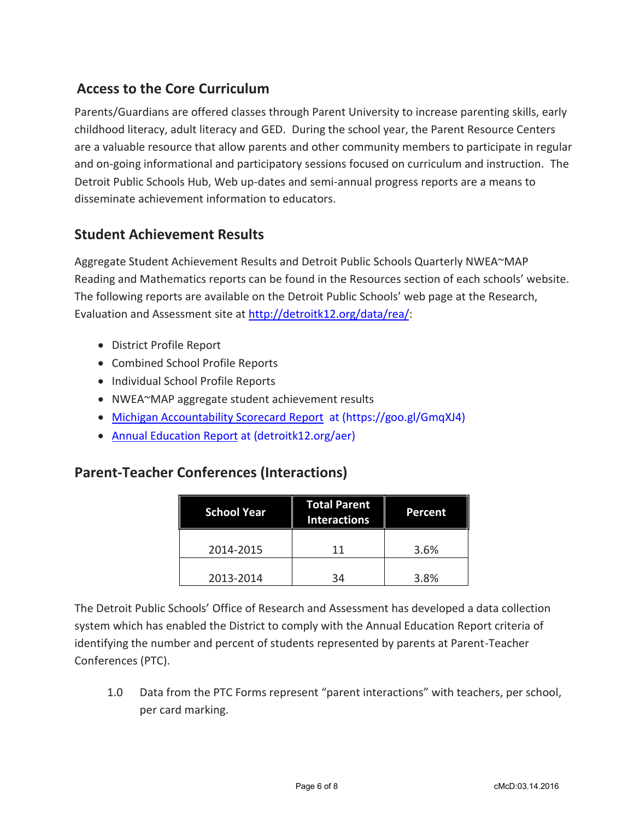# **Access to the Core Curriculum**

Parents/Guardians are offered classes through Parent University to increase parenting skills, early childhood literacy, adult literacy and GED. During the school year, the Parent Resource Centers are a valuable resource that allow parents and other community members to participate in regular and on-going informational and participatory sessions focused on curriculum and instruction. The Detroit Public Schools Hub, Web up-dates and semi-annual progress reports are a means to disseminate achievement information to educators.

# **Student Achievement Results**

Aggregate Student Achievement Results and Detroit Public Schools Quarterly NWEA~MAP Reading and Mathematics reports can be found in the Resources section of each schools' website. The following reports are available on the Detroit Public Schools' web page at the Research, Evaluation and Assess[ment site at http://detroitk12.org](http://detroitk12.org/data/rea/)/data/rea/:

- District Profile Report
- Combined School Profile Reports
- Individual School Profile Reports
- NWEA~MAP aggregate student achievement results
- [Michigan Accountability Scorecard Report](https://goo.gl/GmqXJ4) at (https://goo.gl/GmqXJ4)
- [Annual Education Report](http://detroitk12.org/aer) at (detroitk12.org/aer)

## **Parent-Teacher Conferences (Interactions)**

| <b>School Year</b> | <b>Total Parent</b><br><b>Interactions</b> | Percent |
|--------------------|--------------------------------------------|---------|
| 2014-2015          | 11                                         | 3.6%    |
| 2013-2014          | 34                                         | 3.8%    |

The Detroit Public Schools' Office of Research and Assessment has developed a data collection system which has enabled the District to comply with the Annual Education Report criteria of identifying the number and percent of students represented by parents at Parent-Teacher Conferences (PTC).

1.0 Data from the PTC Forms represent "parent interactions" with teachers, per school, per card marking.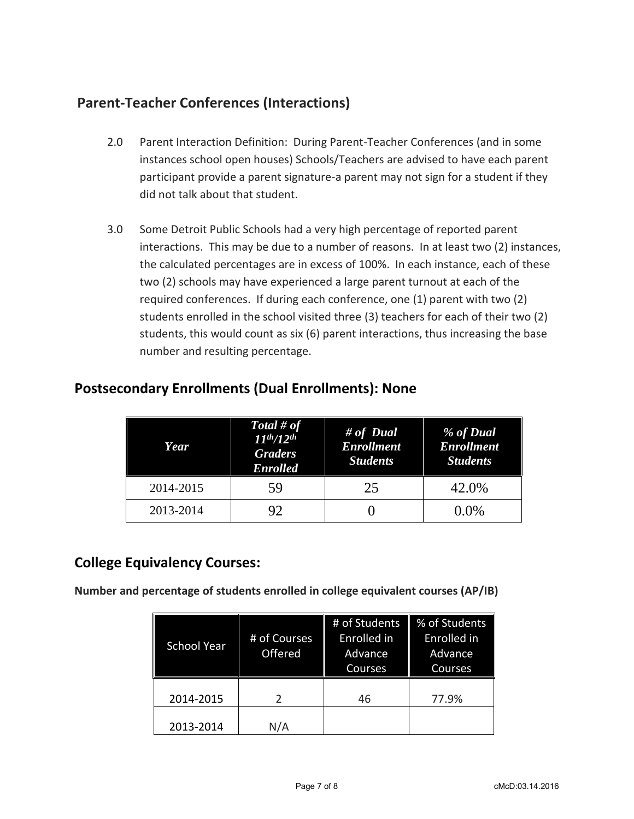# **Parent-Teacher Conferences (Interactions)**

- 2.0 Parent Interaction Definition: During Parent-Teacher Conferences (and in some instances school open houses) Schools/Teachers are advised to have each parent participant provide a parent signature-a parent may not sign for a student if they did not talk about that student.
- 3.0 Some Detroit Public Schools had a very high percentage of reported parent interactions. This may be due to a number of reasons. In at least two (2) instances, the calculated percentages are in excess of 100%. In each instance, each of these two (2) schools may have experienced a large parent turnout at each of the required conferences. If during each conference, one (1) parent with two (2) students enrolled in the school visited three (3) teachers for each of their two (2) students, this would count as six (6) parent interactions, thus increasing the base number and resulting percentage.

| Year      | Total # of<br>$11^{th}/12^{th}$<br><b>Graders</b><br><b>Enrolled</b> | # of Dual<br><b>Enrollment</b><br><b>Students</b> | % of Dual<br><b>Enrollment</b><br><b>Students</b> |
|-----------|----------------------------------------------------------------------|---------------------------------------------------|---------------------------------------------------|
| 2014-2015 | 59                                                                   | 25                                                | 42.0%                                             |
| 2013-2014 | 92                                                                   |                                                   | $0.0\%$                                           |

## **Postsecondary Enrollments (Dual Enrollments): None**

## **College Equivalency Courses:**

**Number and percentage of students enrolled in college equivalent courses (AP/IB)**

| <b>School Year</b> | # of Courses<br>Offered | # of Students<br>Enrolled in<br>Advance<br>Courses | % of Students<br>Enrolled in<br>Advance<br>Courses |
|--------------------|-------------------------|----------------------------------------------------|----------------------------------------------------|
| 2014-2015          | $\mathcal{P}$           | 46                                                 | 77.9%                                              |
| 2013-2014          | N/A                     |                                                    |                                                    |